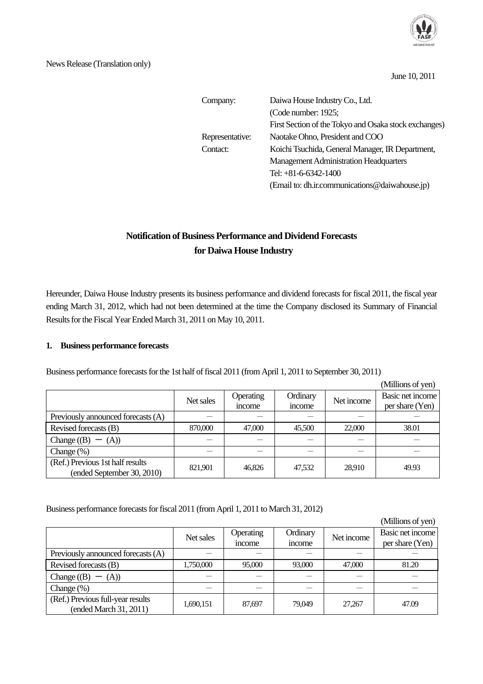

June 10, 2011

| Company:        | Daiwa House Industry Co., Ltd.                        |  |  |  |
|-----------------|-------------------------------------------------------|--|--|--|
|                 | (Code number: 1925;                                   |  |  |  |
|                 | First Section of the Tokyo and Osaka stock exchanges) |  |  |  |
| Representative: | Naotake Ohno, President and COO                       |  |  |  |
| Contact:        | Koichi Tsuchida, General Manager, IR Department,      |  |  |  |
|                 | <b>Management Administration Headquarters</b>         |  |  |  |
|                 | Tel: $+81-6-6342-1400$                                |  |  |  |
|                 | (Email to: dh.ir.communications@daiwahouse.jp)        |  |  |  |

# **Notification of Business Performance and Dividend Forecasts for Daiwa House Industry**

Hereunder, Daiwa House Industry presents its business performance and dividend forecasts for fiscal 2011, the fiscal year ending March 31, 2012, which had not been determined at the time the Company disclosed its Summary of Financial Results for the Fiscal Year Ended March 31, 2011 on May 10, 2011.

# **1. Business performance forecasts**

Business performance forecasts for the 1st half of fiscal 2011 (from April 1, 2011 to September 30, 2011)

 (Millions of yen) Net sales **Operating** income **Ordinary** Ordinary Net income Basic net income income per share (Yen) per share (Yen) Previously announced forecasts (A) - - - - - Revised forecasts (B) 870,000 47,000 45,500 22,000 38.01 Change  $((B) - (A))$  - - - - - - - -Change  $(\%)$   $\qquad$   $\qquad$   $\qquad$   $\qquad$   $\qquad$   $\qquad$   $\qquad$   $\qquad$   $\qquad$   $\qquad$   $\qquad$   $\qquad$   $\qquad$   $\qquad$   $\qquad$   $\qquad$   $\qquad$   $\qquad$   $\qquad$   $\qquad$   $\qquad$   $\qquad$   $\qquad$   $\qquad$   $\qquad$   $\qquad$   $\qquad$   $\qquad$   $\qquad$   $\qquad$   $\qquad$   $\qquad$   $\qquad$   $\qquad$   $\qquad$ (Ref.) Previous 1st half results Frevious Ist han results<br>
(ended September 30, 2010) 821,901 46,826 47,532 28,910 49.93

#### Business performance forecasts for fiscal 2011 (from April 1, 2011 to March 31, 2012)

|                                    |           |              |          |            | (Millions of yen) |
|------------------------------------|-----------|--------------|----------|------------|-------------------|
|                                    | Net sales | Operating    | Ordinary | Net income | Basic net income  |
|                                    |           | <i>ncome</i> | income   |            | per share (Yen)   |
| Previously announced forecasts (A) |           |              |          |            |                   |
| Revised forecasts (B)              | 1,750,000 | 95,000       | 93,000   | 47,000     | 81.20             |
| Change $((B) - (A))$               |           |              |          |            |                   |
| Change $(\%)$                      |           |              |          |            |                   |
| (Ref.) Previous full-year results  | 1,690,151 | 87,697       | 79,049   | 27,267     | 47.09             |
| (ended March 31, 2011)             |           |              |          |            |                   |